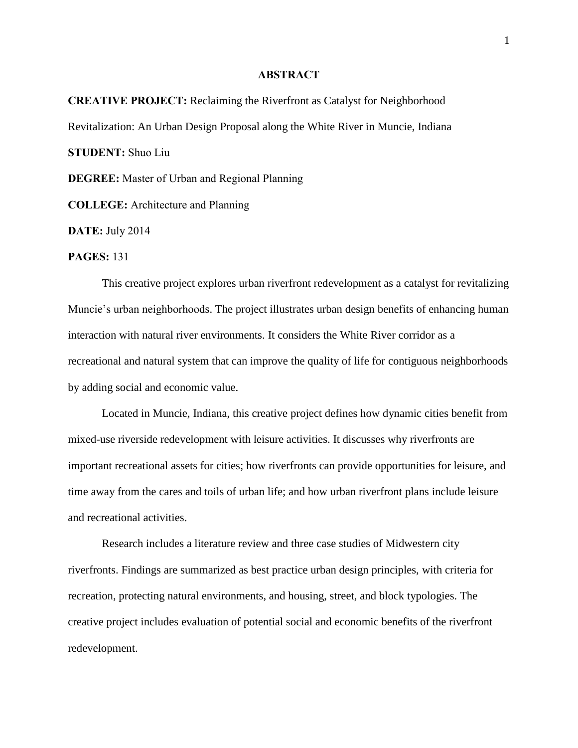## **ABSTRACT**

**CREATIVE PROJECT:** Reclaiming the Riverfront as Catalyst for Neighborhood Revitalization: An Urban Design Proposal along the White River in Muncie, Indiana **STUDENT:** Shuo Liu

**DEGREE:** Master of Urban and Regional Planning

**COLLEGE:** Architecture and Planning

**DATE:** July 2014

**PAGES:** 131

This creative project explores urban riverfront redevelopment as a catalyst for revitalizing Muncie's urban neighborhoods. The project illustrates urban design benefits of enhancing human interaction with natural river environments. It considers the White River corridor as a recreational and natural system that can improve the quality of life for contiguous neighborhoods by adding social and economic value.

Located in Muncie, Indiana, this creative project defines how dynamic cities benefit from mixed-use riverside redevelopment with leisure activities. It discusses why riverfronts are important recreational assets for cities; how riverfronts can provide opportunities for leisure, and time away from the cares and toils of urban life; and how urban riverfront plans include leisure and recreational activities.

Research includes a literature review and three case studies of Midwestern city riverfronts. Findings are summarized as best practice urban design principles, with criteria for recreation, protecting natural environments, and housing, street, and block typologies. The creative project includes evaluation of potential social and economic benefits of the riverfront redevelopment.